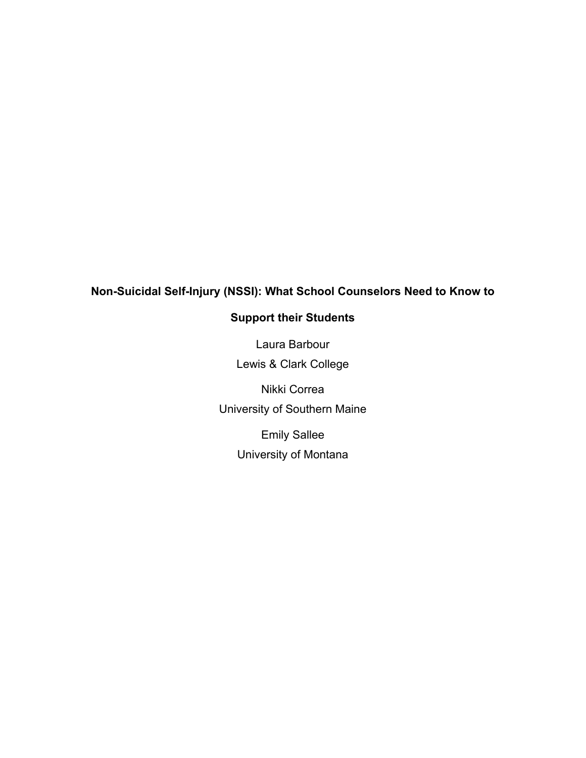# **Non-Suicidal Self-Injury (NSSI): What School Counselors Need to Know to**

# **Support their Students**

Laura Barbour Lewis & Clark College

Nikki Correa University of Southern Maine Emily Sallee

University of Montana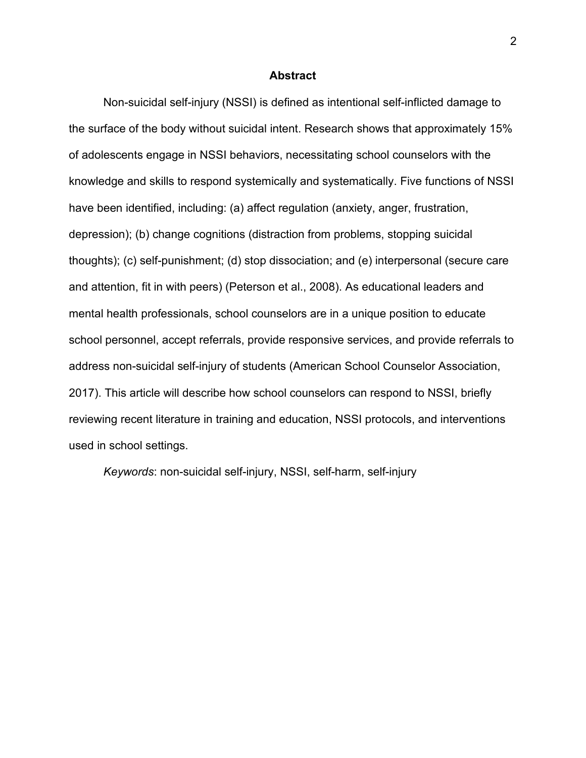#### **Abstract**

Non-suicidal self-injury (NSSI) is defined as intentional self-inflicted damage to the surface of the body without suicidal intent. Research shows that approximately 15% of adolescents engage in NSSI behaviors, necessitating school counselors with the knowledge and skills to respond systemically and systematically. Five functions of NSSI have been identified, including: (a) affect regulation (anxiety, anger, frustration, depression); (b) change cognitions (distraction from problems, stopping suicidal thoughts); (c) self-punishment; (d) stop dissociation; and (e) interpersonal (secure care and attention, fit in with peers) (Peterson et al., 2008). As educational leaders and mental health professionals, school counselors are in a unique position to educate school personnel, accept referrals, provide responsive services, and provide referrals to address non-suicidal self-injury of students (American School Counselor Association, 2017). This article will describe how school counselors can respond to NSSI, briefly reviewing recent literature in training and education, NSSI protocols, and interventions used in school settings.

*Keywords*: non-suicidal self-injury, NSSI, self-harm, self-injury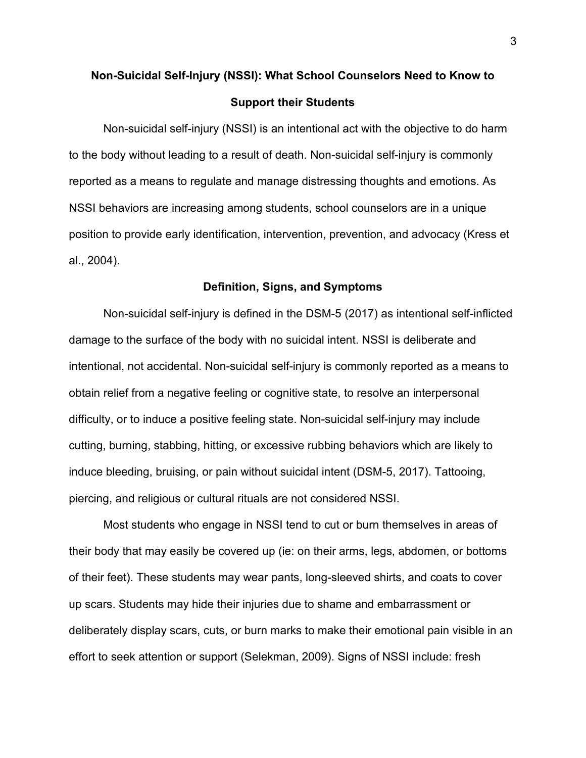# **Non-Suicidal Self-Injury (NSSI): What School Counselors Need to Know to Support their Students**

Non-suicidal self-injury (NSSI) is an intentional act with the objective to do harm to the body without leading to a result of death. Non-suicidal self-injury is commonly reported as a means to regulate and manage distressing thoughts and emotions. As NSSI behaviors are increasing among students, school counselors are in a unique position to provide early identification, intervention, prevention, and advocacy (Kress et al., 2004).

#### **Definition, Signs, and Symptoms**

Non-suicidal self-injury is defined in the DSM-5 (2017) as intentional self-inflicted damage to the surface of the body with no suicidal intent. NSSI is deliberate and intentional, not accidental. Non-suicidal self-injury is commonly reported as a means to obtain relief from a negative feeling or cognitive state, to resolve an interpersonal difficulty, or to induce a positive feeling state. Non-suicidal self-injury may include cutting, burning, stabbing, hitting, or excessive rubbing behaviors which are likely to induce bleeding, bruising, or pain without suicidal intent (DSM-5, 2017). Tattooing, piercing, and religious or cultural rituals are not considered NSSI.

Most students who engage in NSSI tend to cut or burn themselves in areas of their body that may easily be covered up (ie: on their arms, legs, abdomen, or bottoms of their feet). These students may wear pants, long-sleeved shirts, and coats to cover up scars. Students may hide their injuries due to shame and embarrassment or deliberately display scars, cuts, or burn marks to make their emotional pain visible in an effort to seek attention or support (Selekman, 2009). Signs of NSSI include: fresh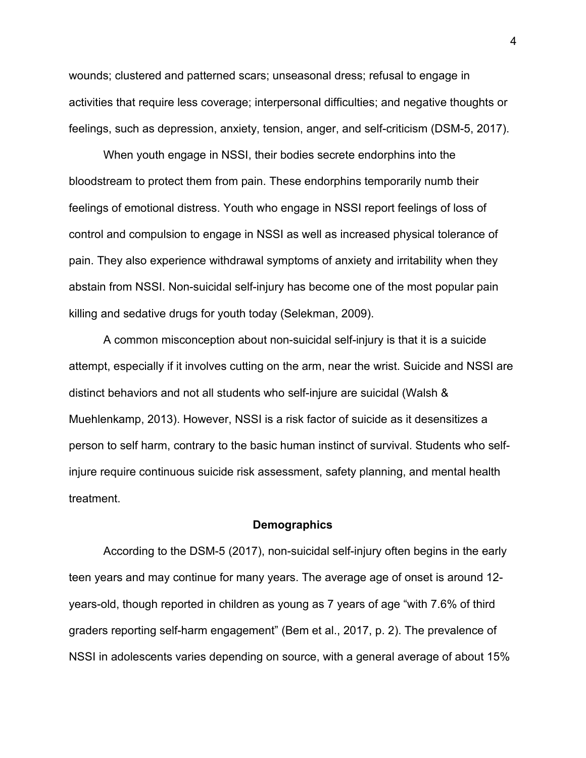wounds; clustered and patterned scars; unseasonal dress; refusal to engage in activities that require less coverage; interpersonal difficulties; and negative thoughts or feelings, such as depression, anxiety, tension, anger, and self-criticism (DSM-5, 2017).

When youth engage in NSSI, their bodies secrete endorphins into the bloodstream to protect them from pain. These endorphins temporarily numb their feelings of emotional distress. Youth who engage in NSSI report feelings of loss of control and compulsion to engage in NSSI as well as increased physical tolerance of pain. They also experience withdrawal symptoms of anxiety and irritability when they abstain from NSSI. Non-suicidal self-injury has become one of the most popular pain killing and sedative drugs for youth today (Selekman, 2009).

A common misconception about non-suicidal self-injury is that it is a suicide attempt, especially if it involves cutting on the arm, near the wrist. Suicide and NSSI are distinct behaviors and not all students who self-injure are suicidal (Walsh & Muehlenkamp, 2013). However, NSSI is a risk factor of suicide as it desensitizes a person to self harm, contrary to the basic human instinct of survival. Students who selfinjure require continuous suicide risk assessment, safety planning, and mental health treatment.

#### **Demographics**

According to the DSM-5 (2017), non-suicidal self-injury often begins in the early teen years and may continue for many years. The average age of onset is around 12 years-old, though reported in children as young as 7 years of age "with 7.6% of third graders reporting self-harm engagement" (Bem et al., 2017, p. 2). The prevalence of NSSI in adolescents varies depending on source, with a general average of about 15%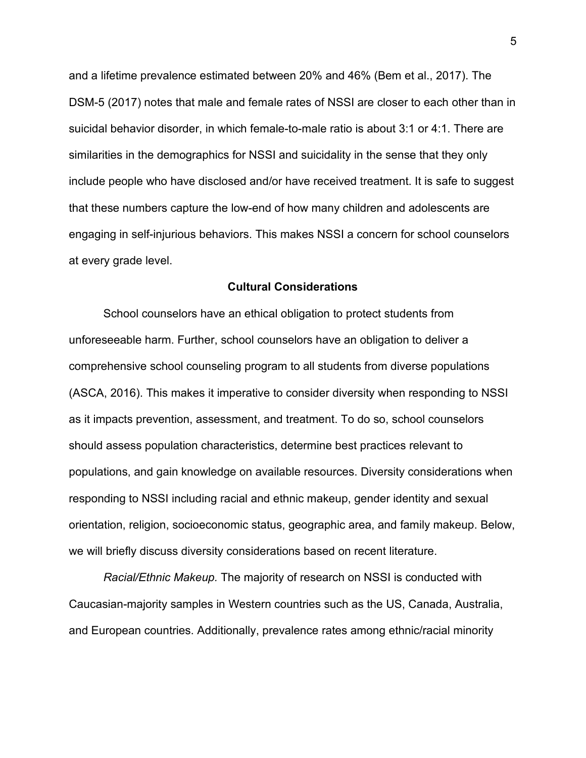and a lifetime prevalence estimated between 20% and 46% (Bem et al., 2017). The DSM-5 (2017) notes that male and female rates of NSSI are closer to each other than in suicidal behavior disorder, in which female-to-male ratio is about 3:1 or 4:1. There are similarities in the demographics for NSSI and suicidality in the sense that they only include people who have disclosed and/or have received treatment. It is safe to suggest that these numbers capture the low-end of how many children and adolescents are engaging in self-injurious behaviors. This makes NSSI a concern for school counselors at every grade level.

#### **Cultural Considerations**

School counselors have an ethical obligation to protect students from unforeseeable harm. Further, school counselors have an obligation to deliver a comprehensive school counseling program to all students from diverse populations (ASCA, 2016). This makes it imperative to consider diversity when responding to NSSI as it impacts prevention, assessment, and treatment. To do so, school counselors should assess population characteristics, determine best practices relevant to populations, and gain knowledge on available resources. Diversity considerations when responding to NSSI including racial and ethnic makeup, gender identity and sexual orientation, religion, socioeconomic status, geographic area, and family makeup. Below, we will briefly discuss diversity considerations based on recent literature.

*Racial/Ethnic Makeup.* The majority of research on NSSI is conducted with Caucasian-majority samples in Western countries such as the US, Canada, Australia, and European countries. Additionally, prevalence rates among ethnic/racial minority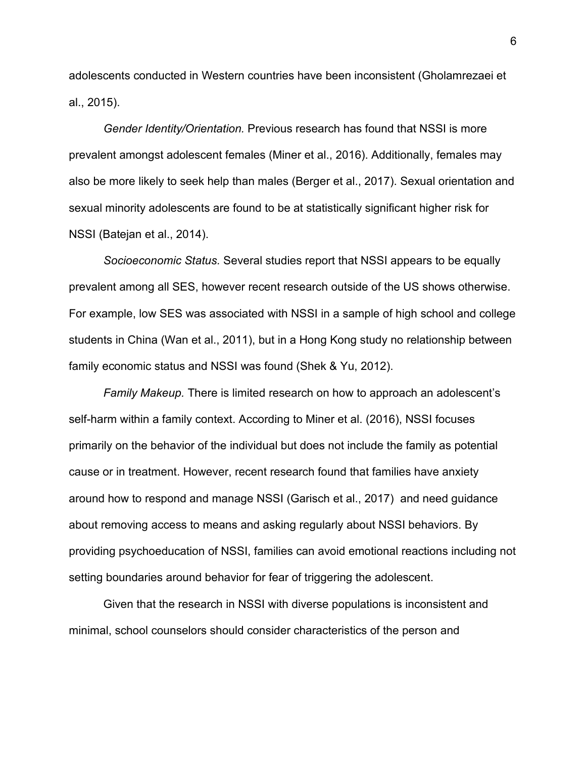adolescents conducted in Western countries have been inconsistent (Gholamrezaei et al., 2015).

*Gender Identity/Orientation.* Previous research has found that NSSI is more prevalent amongst adolescent females (Miner et al., 2016). Additionally, females may also be more likely to seek help than males (Berger et al., 2017). Sexual orientation and sexual minority adolescents are found to be at statistically significant higher risk for NSSI (Batejan et al., 2014).

*Socioeconomic Status.* Several studies report that NSSI appears to be equally prevalent among all SES, however recent research outside of the US shows otherwise. For example, low SES was associated with NSSI in a sample of high school and college students in China (Wan et al., 2011), but in a Hong Kong study no relationship between family economic status and NSSI was found (Shek & Yu, 2012).

*Family Makeup.* There is limited research on how to approach an adolescent's self-harm within a family context. According to Miner et al. (2016), NSSI focuses primarily on the behavior of the individual but does not include the family as potential cause or in treatment. However, recent research found that families have anxiety around how to respond and manage NSSI (Garisch et al., 2017) and need guidance about removing access to means and asking regularly about NSSI behaviors. By providing psychoeducation of NSSI, families can avoid emotional reactions including not setting boundaries around behavior for fear of triggering the adolescent.

Given that the research in NSSI with diverse populations is inconsistent and minimal, school counselors should consider characteristics of the person and

6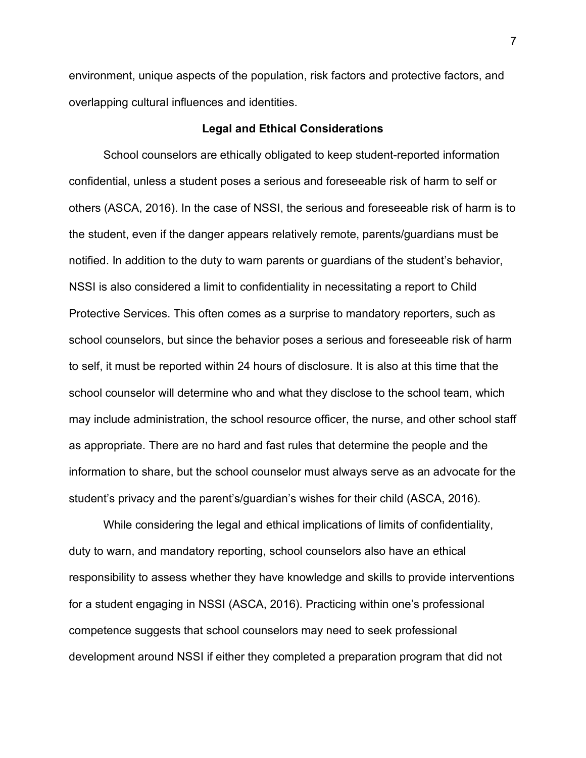environment, unique aspects of the population, risk factors and protective factors, and overlapping cultural influences and identities.

## **Legal and Ethical Considerations**

School counselors are ethically obligated to keep student-reported information confidential, unless a student poses a serious and foreseeable risk of harm to self or others (ASCA, 2016). In the case of NSSI, the serious and foreseeable risk of harm is to the student, even if the danger appears relatively remote, parents/guardians must be notified. In addition to the duty to warn parents or guardians of the student's behavior, NSSI is also considered a limit to confidentiality in necessitating a report to Child Protective Services. This often comes as a surprise to mandatory reporters, such as school counselors, but since the behavior poses a serious and foreseeable risk of harm to self, it must be reported within 24 hours of disclosure. It is also at this time that the school counselor will determine who and what they disclose to the school team, which may include administration, the school resource officer, the nurse, and other school staff as appropriate. There are no hard and fast rules that determine the people and the information to share, but the school counselor must always serve as an advocate for the student's privacy and the parent's/guardian's wishes for their child (ASCA, 2016).

While considering the legal and ethical implications of limits of confidentiality, duty to warn, and mandatory reporting, school counselors also have an ethical responsibility to assess whether they have knowledge and skills to provide interventions for a student engaging in NSSI (ASCA, 2016). Practicing within one's professional competence suggests that school counselors may need to seek professional development around NSSI if either they completed a preparation program that did not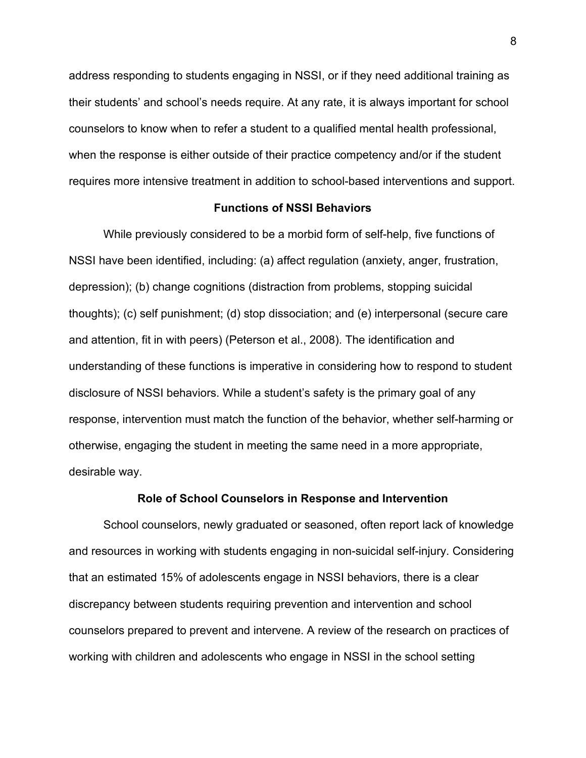address responding to students engaging in NSSI, or if they need additional training as their students' and school's needs require. At any rate, it is always important for school counselors to know when to refer a student to a qualified mental health professional, when the response is either outside of their practice competency and/or if the student requires more intensive treatment in addition to school-based interventions and support.

#### **Functions of NSSI Behaviors**

While previously considered to be a morbid form of self-help, five functions of NSSI have been identified, including: (a) affect regulation (anxiety, anger, frustration, depression); (b) change cognitions (distraction from problems, stopping suicidal thoughts); (c) self punishment; (d) stop dissociation; and (e) interpersonal (secure care and attention, fit in with peers) (Peterson et al., 2008). The identification and understanding of these functions is imperative in considering how to respond to student disclosure of NSSI behaviors. While a student's safety is the primary goal of any response, intervention must match the function of the behavior, whether self-harming or otherwise, engaging the student in meeting the same need in a more appropriate, desirable way.

#### **Role of School Counselors in Response and Intervention**

School counselors, newly graduated or seasoned, often report lack of knowledge and resources in working with students engaging in non-suicidal self-injury. Considering that an estimated 15% of adolescents engage in NSSI behaviors, there is a clear discrepancy between students requiring prevention and intervention and school counselors prepared to prevent and intervene. A review of the research on practices of working with children and adolescents who engage in NSSI in the school setting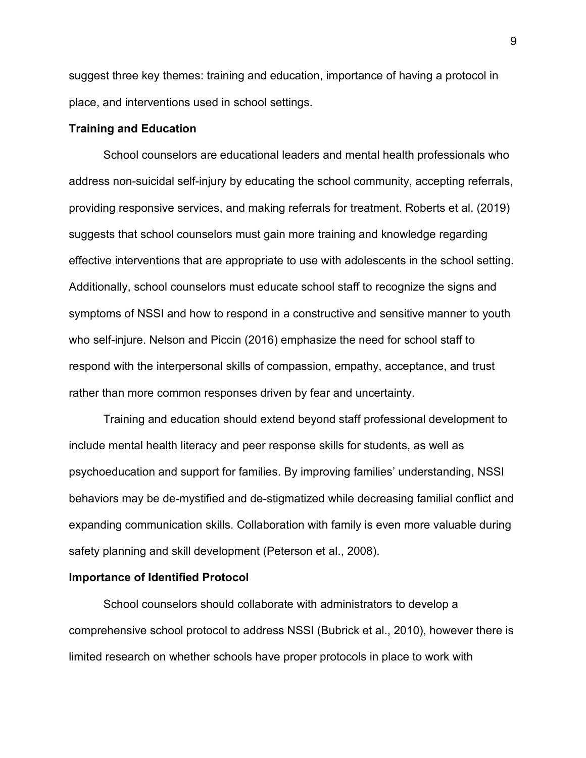suggest three key themes: training and education, importance of having a protocol in place, and interventions used in school settings.

#### **Training and Education**

School counselors are educational leaders and mental health professionals who address non-suicidal self-injury by educating the school community, accepting referrals, providing responsive services, and making referrals for treatment. Roberts et al. (2019) suggests that school counselors must gain more training and knowledge regarding effective interventions that are appropriate to use with adolescents in the school setting. Additionally, school counselors must educate school staff to recognize the signs and symptoms of NSSI and how to respond in a constructive and sensitive manner to youth who self-injure. Nelson and Piccin (2016) emphasize the need for school staff to respond with the interpersonal skills of compassion, empathy, acceptance, and trust rather than more common responses driven by fear and uncertainty.

Training and education should extend beyond staff professional development to include mental health literacy and peer response skills for students, as well as psychoeducation and support for families. By improving families' understanding, NSSI behaviors may be de-mystified and de-stigmatized while decreasing familial conflict and expanding communication skills. Collaboration with family is even more valuable during safety planning and skill development (Peterson et al., 2008).

#### **Importance of Identified Protocol**

School counselors should collaborate with administrators to develop a comprehensive school protocol to address NSSI (Bubrick et al., 2010), however there is limited research on whether schools have proper protocols in place to work with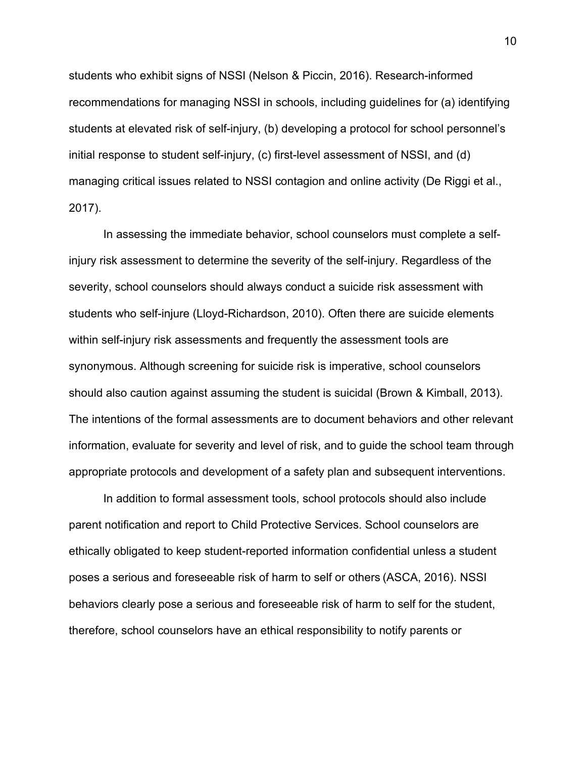students who exhibit signs of NSSI (Nelson & Piccin, 2016). Research-informed recommendations for managing NSSI in schools, including guidelines for (a) identifying students at elevated risk of self-injury, (b) developing a protocol for school personnel's initial response to student self-injury, (c) first-level assessment of NSSI, and (d) managing critical issues related to NSSI contagion and online activity (De Riggi et al., 2017).

In assessing the immediate behavior, school counselors must complete a selfinjury risk assessment to determine the severity of the self-injury. Regardless of the severity, school counselors should always conduct a suicide risk assessment with students who self-injure (Lloyd-Richardson, 2010). Often there are suicide elements within self-injury risk assessments and frequently the assessment tools are synonymous. Although screening for suicide risk is imperative, school counselors should also caution against assuming the student is suicidal (Brown & Kimball, 2013). The intentions of the formal assessments are to document behaviors and other relevant information, evaluate for severity and level of risk, and to guide the school team through appropriate protocols and development of a safety plan and subsequent interventions.

In addition to formal assessment tools, school protocols should also include parent notification and report to Child Protective Services. School counselors are ethically obligated to keep student-reported information confidential unless a student poses a serious and foreseeable risk of harm to self or others (ASCA, 2016). NSSI behaviors clearly pose a serious and foreseeable risk of harm to self for the student, therefore, school counselors have an ethical responsibility to notify parents or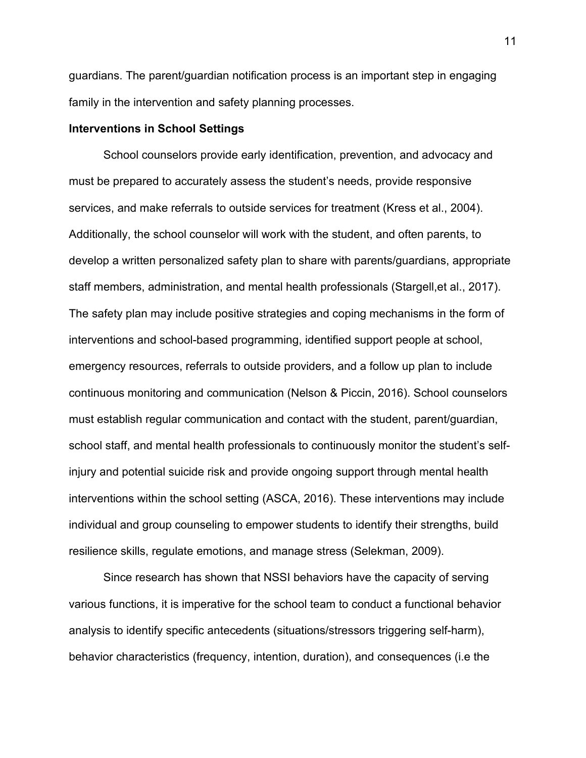guardians. The parent/guardian notification process is an important step in engaging family in the intervention and safety planning processes.

## **Interventions in School Settings**

School counselors provide early identification, prevention, and advocacy and must be prepared to accurately assess the student's needs, provide responsive services, and make referrals to outside services for treatment (Kress et al., 2004). Additionally, the school counselor will work with the student, and often parents, to develop a written personalized safety plan to share with parents/guardians, appropriate staff members, administration, and mental health professionals (Stargell,et al., 2017). The safety plan may include positive strategies and coping mechanisms in the form of interventions and school-based programming, identified support people at school, emergency resources, referrals to outside providers, and a follow up plan to include continuous monitoring and communication (Nelson & Piccin, 2016). School counselors must establish regular communication and contact with the student, parent/guardian, school staff, and mental health professionals to continuously monitor the student's selfinjury and potential suicide risk and provide ongoing support through mental health interventions within the school setting (ASCA, 2016). These interventions may include individual and group counseling to empower students to identify their strengths, build resilience skills, regulate emotions, and manage stress (Selekman, 2009).

Since research has shown that NSSI behaviors have the capacity of serving various functions, it is imperative for the school team to conduct a functional behavior analysis to identify specific antecedents (situations/stressors triggering self-harm), behavior characteristics (frequency, intention, duration), and consequences (i.e the

11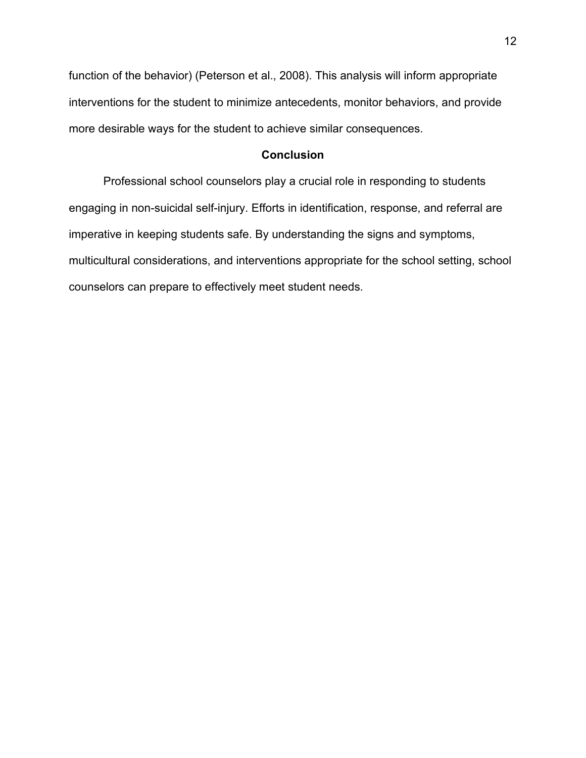function of the behavior) (Peterson et al., 2008). This analysis will inform appropriate interventions for the student to minimize antecedents, monitor behaviors, and provide more desirable ways for the student to achieve similar consequences.

## **Conclusion**

Professional school counselors play a crucial role in responding to students engaging in non-suicidal self-injury. Efforts in identification, response, and referral are imperative in keeping students safe. By understanding the signs and symptoms, multicultural considerations, and interventions appropriate for the school setting, school counselors can prepare to effectively meet student needs.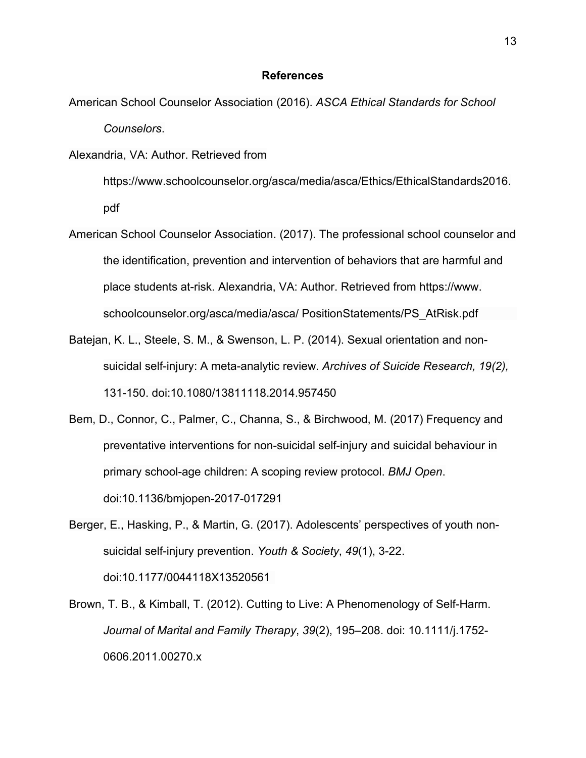#### **References**

American School Counselor Association (2016). *ASCA Ethical Standards for School Counselors*.

Alexandria, VA: Author. Retrieved from

https://www.schoolcounselor.org/asca/media/asca/Ethics/EthicalStandards2016. pdf

- American School Counselor Association. (2017). The professional school counselor and the identification, prevention and intervention of behaviors that are harmful and place students at-risk. Alexandria, VA: Author. Retrieved from https://www. schoolcounselor.org/asca/media/asca/ PositionStatements/PS\_AtRisk.pdf
- Batejan, K. L., Steele, S. M., & Swenson, L. P. (2014). Sexual orientation and nonsuicidal self-injury: A meta-analytic review. *Archives of Suicide Research, 19(2),* 131-150. doi:10.1080/13811118.2014.957450
- Bem, D., Connor, C., Palmer, C., Channa, S., & Birchwood, M. (2017) Frequency and preventative interventions for non-suicidal self-injury and suicidal behaviour in primary school-age children: A scoping review protocol. *BMJ Open*. doi:10.1136/bmjopen-2017-017291
- Berger, E., Hasking, P., & Martin, G. (2017). Adolescents' perspectives of youth nonsuicidal self-injury prevention. *Youth & Society*, *49*(1), 3-22. doi:10.1177/0044118X13520561
- Brown, T. B., & Kimball, T. (2012). Cutting to Live: A Phenomenology of Self-Harm. *Journal of Marital and Family Therapy*, *39*(2), 195–208. doi: 10.1111/j.1752- 0606.2011.00270.x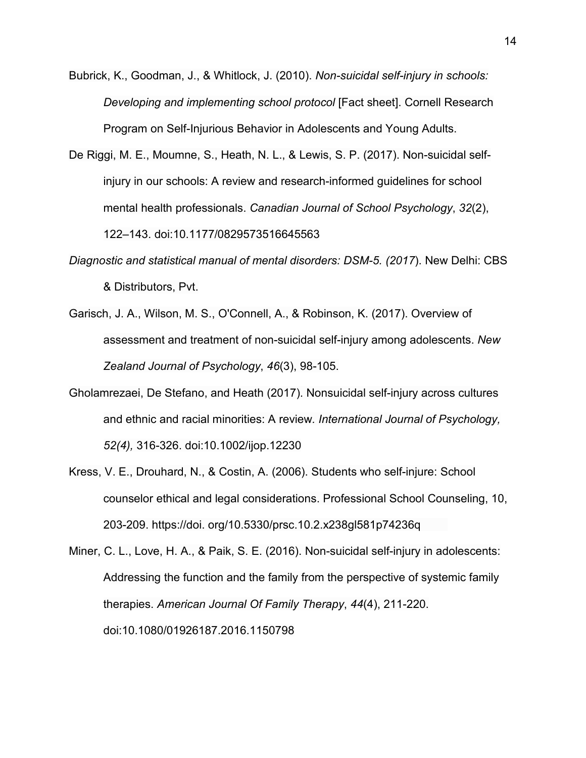- Bubrick, K., Goodman, J., & Whitlock, J. (2010). *Non-suicidal self-injury in schools: Developing and implementing school protocol* [Fact sheet]. Cornell Research Program on Self-Injurious Behavior in Adolescents and Young Adults.
- De Riggi, M. E., Moumne, S., Heath, N. L., & Lewis, S. P. (2017). Non-suicidal selfinjury in our schools: A review and research-informed guidelines for school mental health professionals. *Canadian Journal of School Psychology*, *32*(2), 122–143. doi[:10.1177/0829573516645563](https://doi.org/10.1177/0829573516645563)
- *Diagnostic and statistical manual of mental disorders: DSM-5. (2017*). New Delhi: CBS & Distributors, Pvt.
- Garisch, J. A., Wilson, M. S., O'Connell, A., & Robinson, K. (2017). Overview of assessment and treatment of non-suicidal self-injury among adolescents. *New Zealand Journal of Psychology*, *46*(3), 98-105.
- Gholamrezaei, De Stefano, and Heath (2017). Nonsuicidal self-injury across cultures and ethnic and racial minorities: A review*. International Journal of Psychology, 52(4),* 316-326. doi:10.1002/ijop.12230
- Kress, V. E., Drouhard, N., & Costin, A. (2006). Students who self-injure: School counselor ethical and legal considerations. Professional School Counseling, 10, 203-209. https://doi. org/10.5330/prsc.10.2.x238gl581p74236q
- Miner, C. L., Love, H. A., & Paik, S. E. (2016). Non-suicidal self-injury in adolescents: Addressing the function and the family from the perspective of systemic family therapies. *American Journal Of Family Therapy*, *44*(4), 211-220. doi:10.1080/01926187.2016.1150798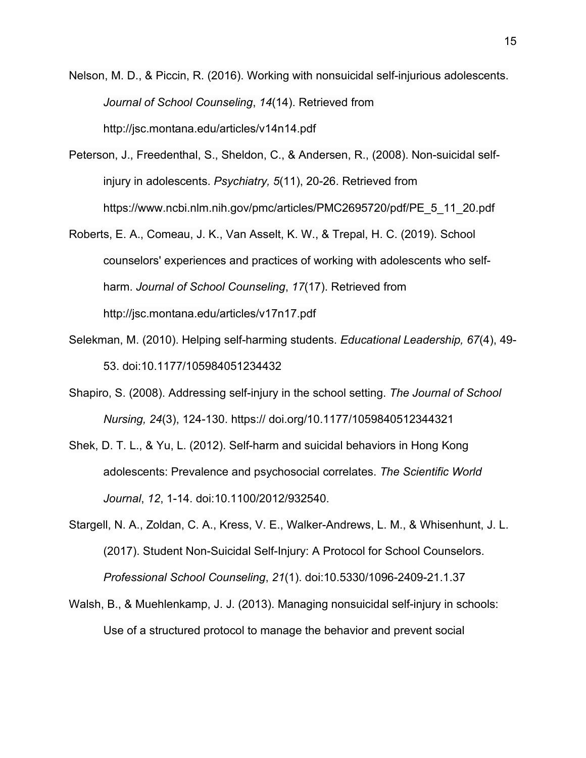Nelson, M. D., & Piccin, R. (2016). Working with nonsuicidal self-injurious adolescents. *Journal of School Counseling*, *14*(14). Retrieved from http://jsc.montana.edu/articles/v14n14.pdf

- Peterson, J., Freedenthal, S., Sheldon, C., & Andersen, R., (2008). Non-suicidal selfinjury in adolescents. *Psychiatry, 5*(11), 20-26. Retrieved from https://www.ncbi.nlm.nih.gov/pmc/articles/PMC2695720/pdf/PE\_5\_11\_20.pdf
- Roberts, E. A., Comeau, J. K., Van Asselt, K. W., & Trepal, H. C. (2019). School counselors' experiences and practices of working with adolescents who selfharm. *Journal of School Counseling*, *17*(17). Retrieved from http://jsc.montana.edu/articles/v17n17.pdf
- Selekman, M. (2010). Helping self-harming students. *Educational Leadership, 67*(4), 49- 53. doi[:10.1177/105984051234432](https://doi.org/10.1177/1059840512344321)
- Shapiro, S. (2008). Addressing self-injury in the school setting. *The Journal of School Nursing, 24*(3), 124-130. https:// doi.org/10.1177/1059840512344321
- Shek, D. T. L., & Yu, L. (2012). Self-harm and suicidal behaviors in Hong Kong adolescents: Prevalence and psychosocial correlates. *The Scientific World Journal*, *12*, 1-14. doi:10.1100/2012/932540.
- Stargell, N. A., Zoldan, C. A., Kress, V. E., Walker-Andrews, L. M., & Whisenhunt, J. L. (2017). Student Non-Suicidal Self-Injury: A Protocol for School Counselors. *Professional School Counseling*, *21*(1). doi:10.5330/1096-2409-21.1.37
- Walsh, B., & Muehlenkamp, J. J. (2013). Managing nonsuicidal self-injury in schools: Use of a structured protocol to manage the behavior and prevent social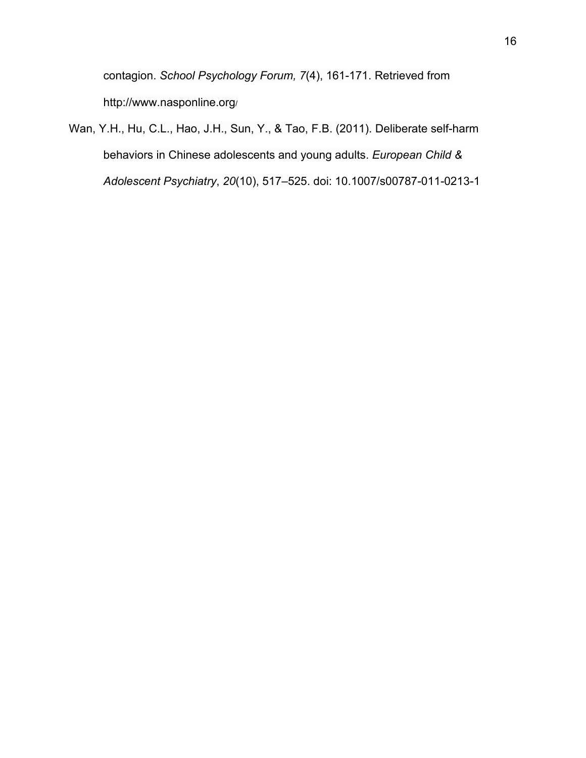contagion. *School Psychology Forum, 7*(4), 161-171. Retrieved from http://www.nasponline.org/

Wan, Y.H., Hu, C.L., Hao, J.H., Sun, Y., & Tao, F.B. (2011). Deliberate self-harm behaviors in Chinese adolescents and young adults. *European Child & Adolescent Psychiatry*, *20*(10), 517–525. doi: 10.1007/s00787-011-0213-1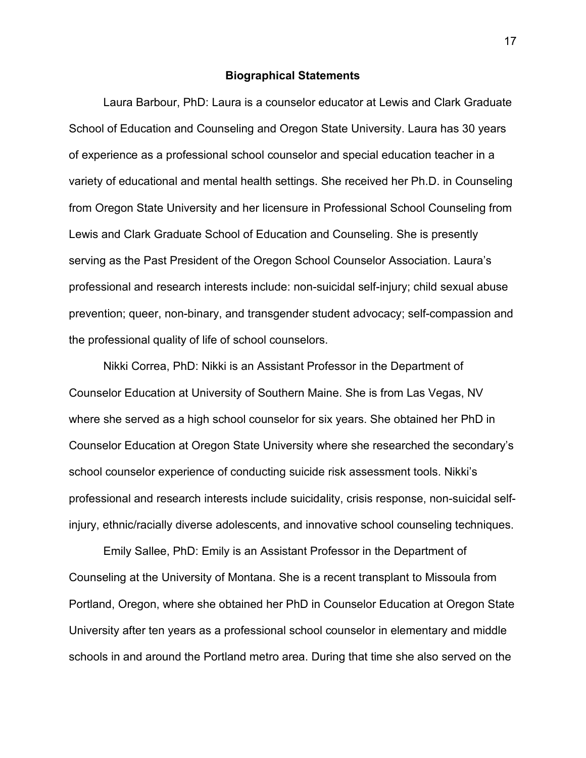#### **Biographical Statements**

Laura Barbour, PhD: Laura is a counselor educator at Lewis and Clark Graduate School of Education and Counseling and Oregon State University. Laura has 30 years of experience as a professional school counselor and special education teacher in a variety of educational and mental health settings. She received her Ph.D. in Counseling from Oregon State University and her licensure in Professional School Counseling from Lewis and Clark Graduate School of Education and Counseling. She is presently serving as the Past President of the Oregon School Counselor Association. Laura's professional and research interests include: non-suicidal self-injury; child sexual abuse prevention; queer, non-binary, and transgender student advocacy; self-compassion and the professional quality of life of school counselors.

Nikki Correa, PhD: Nikki is an Assistant Professor in the Department of Counselor Education at University of Southern Maine. She is from Las Vegas, NV where she served as a high school counselor for six years. She obtained her PhD in Counselor Education at Oregon State University where she researched the secondary's school counselor experience of conducting suicide risk assessment tools. Nikki's professional and research interests include suicidality, crisis response, non-suicidal selfinjury, ethnic/racially diverse adolescents, and innovative school counseling techniques.

Emily Sallee, PhD: Emily is an Assistant Professor in the Department of Counseling at the University of Montana. She is a recent transplant to Missoula from Portland, Oregon, where she obtained her PhD in Counselor Education at Oregon State University after ten years as a professional school counselor in elementary and middle schools in and around the Portland metro area. During that time she also served on the